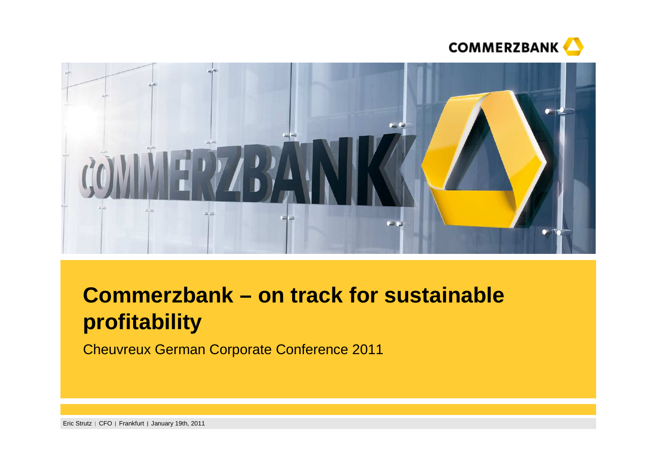



# **Commerzbank – on track for sustainable profitability**

Cheuvreux German Corporate Conference 2011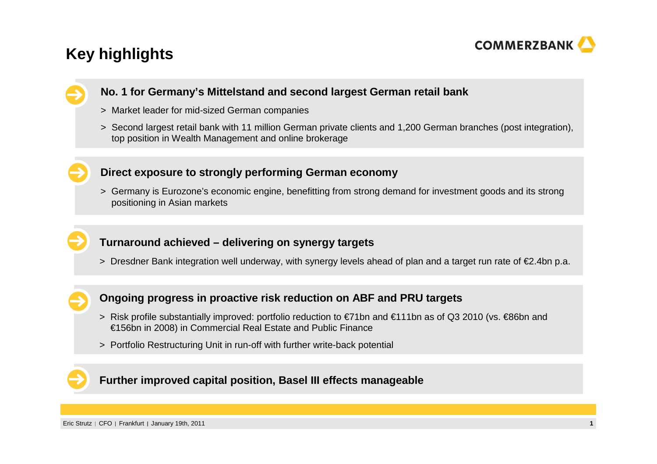

## **Key highlights**

#### **No. 1 for Germany's Mittelstand and second largest German retail bank**

- > Market leader for mid-sized German companies
- > Second largest retail bank with 11 million German private clients and 1,200 German branches (post integration), top position in Wealth Management and online brokerage



## **Direct exposure to strongly performing German economy**

> Germany is Eurozone's economic engine, benefitting from strong demand for investment goods and its strong positioning in Asian markets

## **Turnaround achieved – delivering on synergy targets**

> Dresdner Bank integration well underway, with synergy levels ahead of plan and a target run rate of €2.4bn p.a.



#### **Ongoing progress in proactive risk reduction on ABF and PRU targets**

- > Risk profile substantially improved: portfolio reduction to €71bn and €111bn as of Q3 2010 (vs. €86bnand €156bn in 2008) in Commercial Real Estate and Public Finance
- > Portfolio Restructuring Unit in run-off with further write-back potential



## **Further improved capital position, Basel III effects manageable**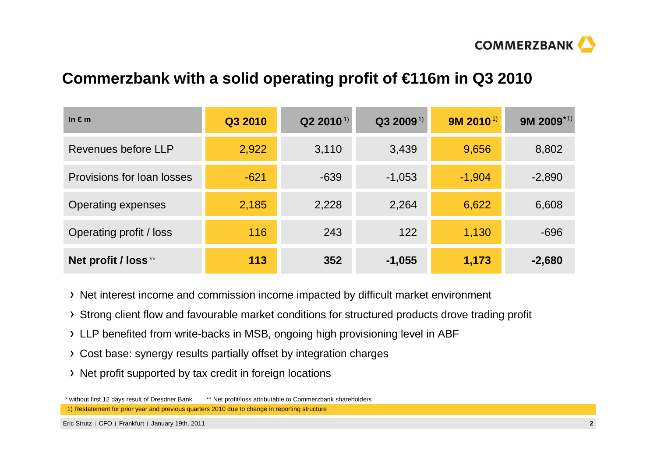

## **Commerzbank with a solid operating profit of €116m in Q3 2010**

| In $\notin$ m              | Q3 2010 | Q2 2010 <sup>1)</sup> | $Q32009^{1}$ | $9M$ 2010 <sup>1)</sup> | $9M$ 2009 <sup>*1)</sup> |
|----------------------------|---------|-----------------------|--------------|-------------------------|--------------------------|
| Revenues before LLP        | 2,922   | 3,110                 | 3,439        | 9,656                   | 8,802                    |
| Provisions for loan losses | $-621$  | $-639$                | $-1,053$     | $-1,904$                | $-2,890$                 |
| Operating expenses         | 2,185   | 2,228                 | 2,264        | 6,622                   | 6,608                    |
| Operating profit / loss    | 116     | 243                   | 122          | 1,130                   | $-696$                   |
| Net profit / loss**        | 113     | 352                   | $-1,055$     | 1,173                   | $-2,680$                 |

Net interest income and commission income impacted by difficult market environment

- Strong client flow and favourable market conditions for structured products drove trading profit
- LLP benefited from write-backs in MSB, ongoing high provisioning level in ABF
- Cost base: synergy results partially offset by integration charges
- > Net profit supported by tax credit in foreign locations

<sup>\*</sup> without first 12 days result of Dresdner Bank \*\* Net profit/loss attributable to Commerzbank shareholders1) Restatement for prior year and previous quarters 2010 due to change in reporting structure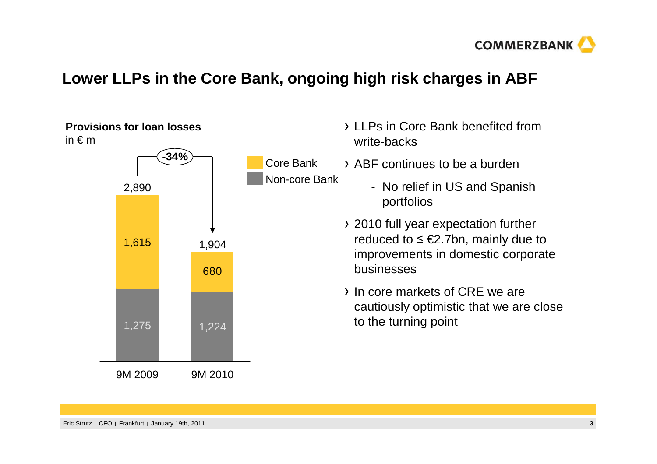

## **Lower LLPs in the Core Bank, ongoing high risk charges in ABF**

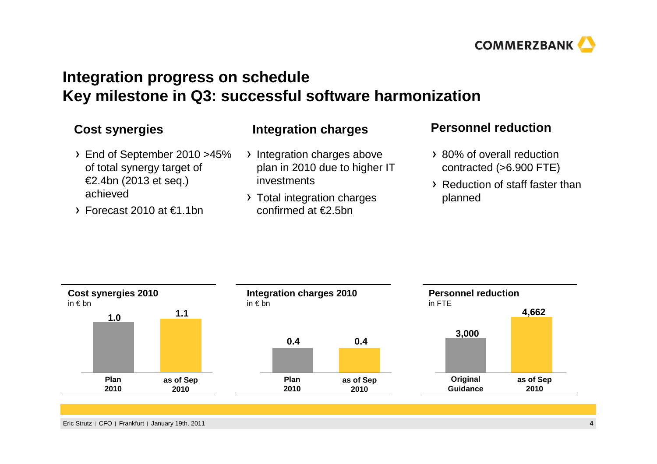

## **Integration progress on scheduleKey milestone in Q3: successful software harmonization**

## **Cost synergies Personnel reductionIntegration charges**

- End of September 2010 >45% of total synergy target of €2.4bn (2013 et seq.) achieved
- $\rightarrow$  Forecast 2010 at  $\in$ 1.1bn
- Integration charges above plan in 2010 due to higher IT investments
- > Total integration charges confirmed at €2.5bn

- 80% of overall reduction contracted (>6.900 FTE)
- Reduction of staff faster than planned

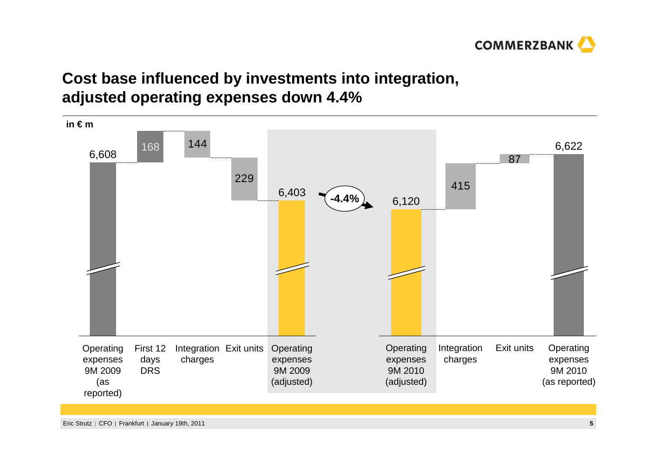

## **Cost base influenced by investments into integration,adjusted operating expenses down 4.4%**

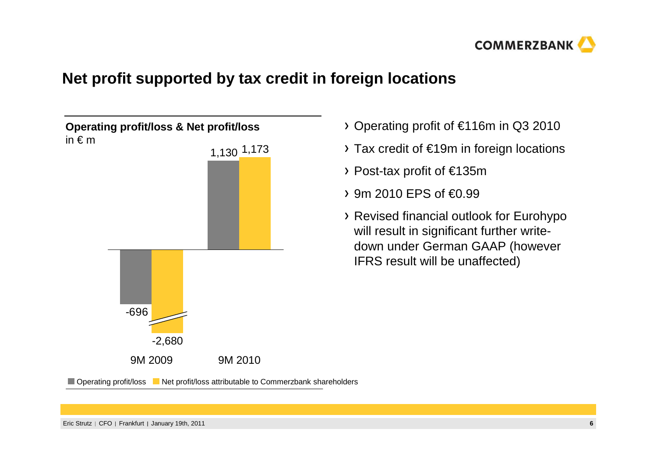

## **Net profit supported by tax credit in foreign locations**



- Operating profit of €116m in Q3 2010
- Tax credit of €19m in foreign locations
- Post-tax profit of €135m
- 9m 2010 EPS of €0.99
- Revised financial outlook for Eurohypowill result in significant further writedown under German GAAP (however IFRS result will be unaffected)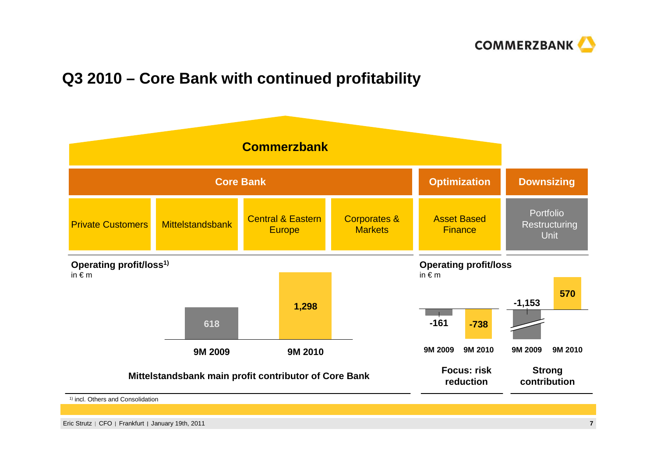

## **Q3 2010 – Core Bank with continued profitability**

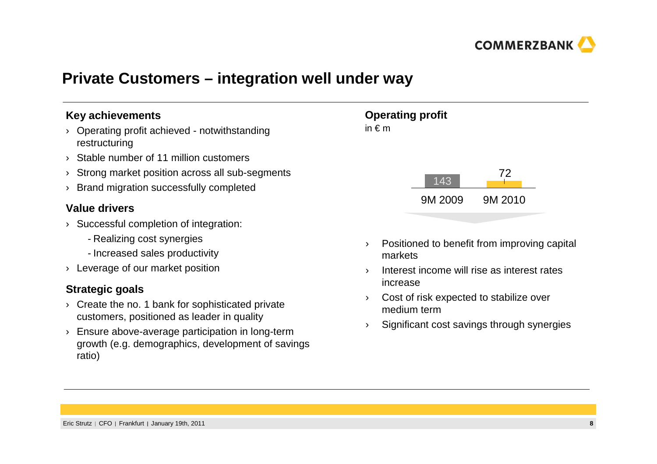

## **Private Customers – integration well under way**

#### **Key achievements**

- › Operating profit achieved notwithstanding restructuring
- › Stable number of 11 million customers
- ›Strong market position across all sub-segments
- ›Brand migration successfully completed

#### **Value drivers**

- › Successful completion of integration:
	- Realizing cost synergies
	- Increased sales productivity
- › Leverage of our market position

## **Strategic goals**

- $\rightarrow$  Create the no. 1 bank for sophisticated private customers, positioned as leader in quality
- › Ensure above-average participation in long-term growth (e.g. demographics, development of savings ratio)





- › Positioned to benefit from improving capital markets
- › Interest income will rise as interest rates increase
- Cost of risk expected to stabilize over ›medium term
- Significant cost savings through synergies›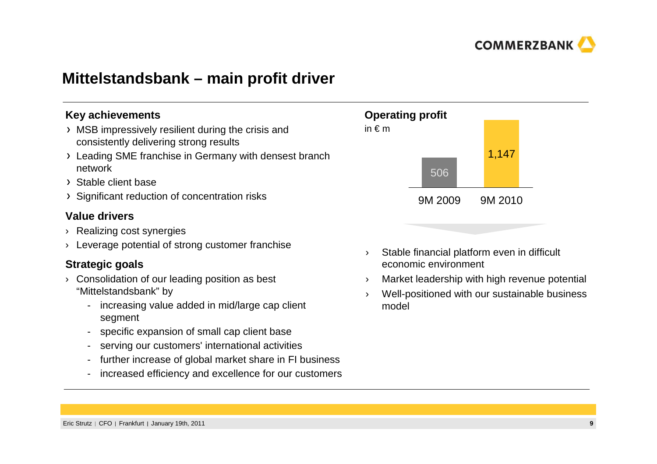

## **Mittelstandsbank – main profit driver**

#### **Key achievements**

- MSB impressively resilient during the crisis and consistently delivering strong results
- Leading SME franchise in Germany with densest branch network
- Stable client base
- Significant reduction of concentration risks

#### **Value drivers**

- › Realizing cost synergies
- Leverage potential of strong customer franchise›

#### **Strategic goals**

- › Consolidation of our leading position as best "Mittelstandsbank" by
	- increasing value added in mid/large cap client segment
	- specific expansion of small cap client base
	- serving our customers' international activities
	- further increase of global market share in FI business
	- increased efficiency and excellence for our customers



- › Stable financial platform even in difficult economic environment
- ›Market leadership with high revenue potential
- › Well-positioned with our sustainable business model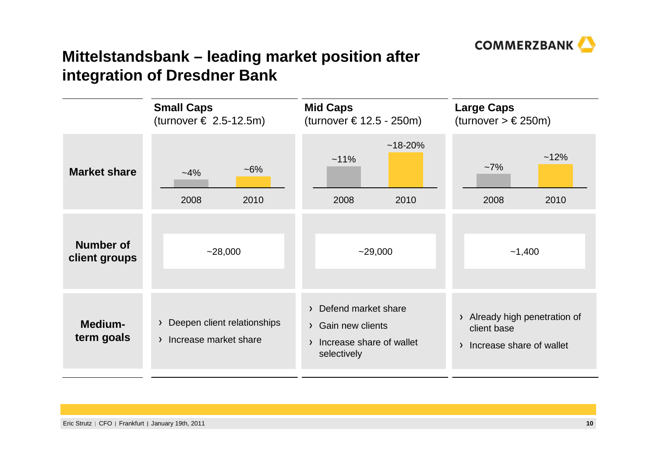

## **Mittelstandsbank – leading market position after integration of Dresdner Bank**

|                                   | <b>Small Caps</b>                                        | <b>Mid Caps</b>                                                                                     | <b>Large Caps</b>                                                          |  |  |  |
|-----------------------------------|----------------------------------------------------------|-----------------------------------------------------------------------------------------------------|----------------------------------------------------------------------------|--|--|--|
|                                   | (turnover $\in$ 2.5-12.5m)                               | (turnover $\in$ 12.5 - 250m)                                                                        | (turnover $> \text{ } \in 250 \text{m}$ )                                  |  |  |  |
| <b>Market share</b>               | $~16\%$                                                  | $~18 - 20%$                                                                                         | $~12\%$                                                                    |  |  |  |
|                                   | $-4%$                                                    | $~11\%$                                                                                             | $-7%$                                                                      |  |  |  |
|                                   | 2008                                                     | 2008                                                                                                | 2008                                                                       |  |  |  |
|                                   | 2010                                                     | 2010                                                                                                | 2010                                                                       |  |  |  |
| <b>Number of</b><br>client groups | ~28,000                                                  | ~29,000                                                                                             | ~1,400                                                                     |  |  |  |
| Medium-<br>term goals             | > Deepen client relationships<br>> Increase market share | > Defend market share<br>> Gain new clients<br>Increase share of wallet<br>$\lambda$<br>selectively | > Already high penetration of<br>client base<br>> Increase share of wallet |  |  |  |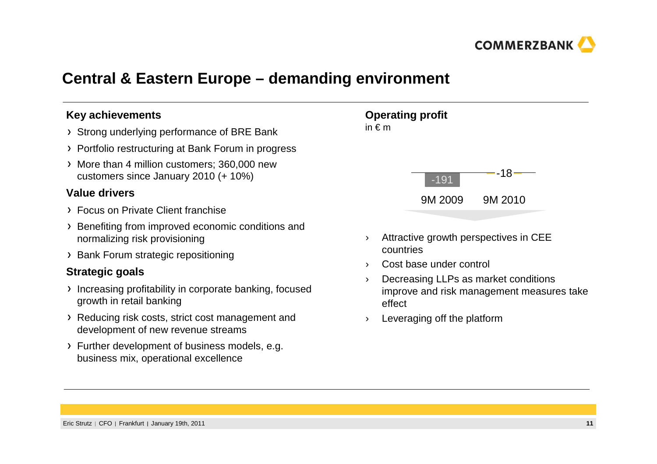

## **Central & Eastern Europe – demanding environment**

#### **Key achievements**

- > Strong underlying performance of BRE Bank
- Portfolio restructuring at Bank Forum in progress
- More than 4 million customers; 360,000 new customers since January 2010 (+ 10%)

#### **Value drivers**

- Focus on Private Client franchise
- Benefiting from improved economic conditions and normalizing risk provisioning
- Bank Forum strategic repositioning

#### **Strategic goals**

- Increasing profitability in corporate banking, focused growth in retail banking
- Reducing risk costs, strict cost management and development of new revenue streams
- Further development of business models, e.g. business mix, operational excellence



- › Attractive growth perspectives in CEE countries
- ›Cost base under control

**Operating profit**

in € <sup>m</sup>

- › Decreasing LLPs as market conditions improve and risk management measures take effect
- ›Leveraging off the platform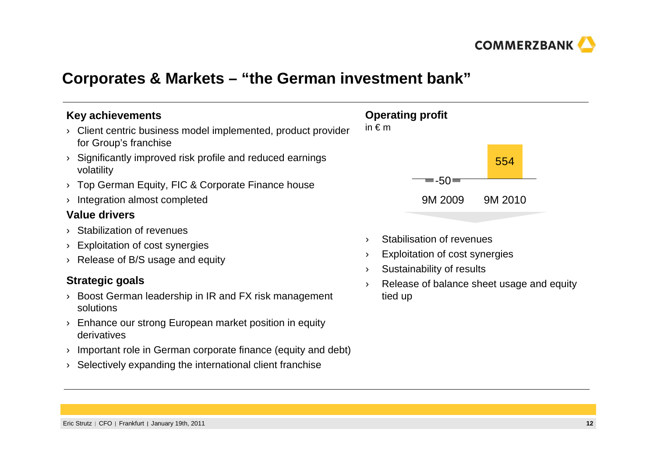

## **Corporates & Markets – "the German investment bank"**

#### **Key achievements**

- › Client centric business model implemented, product provider for Group's franchise
- › Significantly improved risk profile and reduced earnings volatility
- $\rightarrow$  Top German Equity, FIC & Corporate Finance house
- › Integration almost completed

## **Value drivers**

- › Stabilization of revenues
- ›Exploitation of cost synergies
- › Release of B/S usage and equity

#### **Strategic goals**

- › Boost German leadership in IR and FX risk management solutions
- › Enhance our strong European market position in equity derivatives
- ›Important role in German corporate finance (equity and debt)
- $\rightarrow$  Selectively expanding the international client franchise



›Stabilisation of revenues

**Operating profit**

- ›Exploitation of cost synergies
- ›Sustainability of results
- › Release of balance sheet usage and equity tied up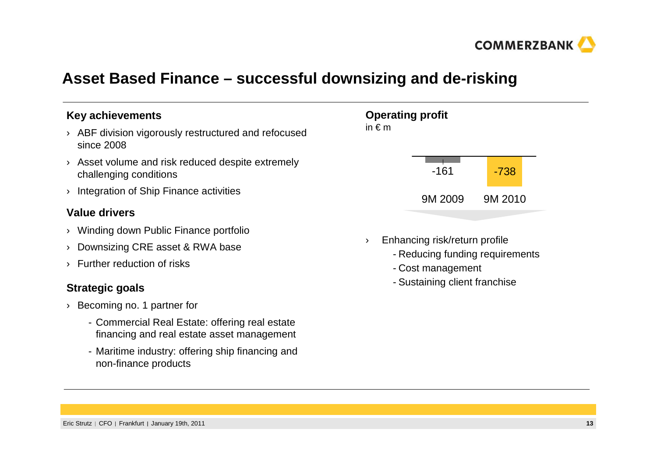

## **Asset Based Finance – successful downsizing and de-risking**

#### **Key achievements**

- $\rightarrow$  ABF division vigorously restructured and refocused since 2008
- › Asset volume and risk reduced despite extremely challenging conditions
- $\rightarrow$  Integration of Ship Finance activities

## **Value drivers**

- › Winding down Public Finance portfolio
- ›Downsizing CRE asset & RWA base
- › Further reduction of risks

## **Strategic goals**

- › Becoming no. 1 partner for
	- Commercial Real Estate: offering real estate financing and real estate asset management
	- Maritime industry: offering ship financing and non-finance products



›Enhancing risk/return profile

**Operating profit** 

in  $\notin$  m

- Reducing funding requirements
- Cost management
- Sustaining client franchise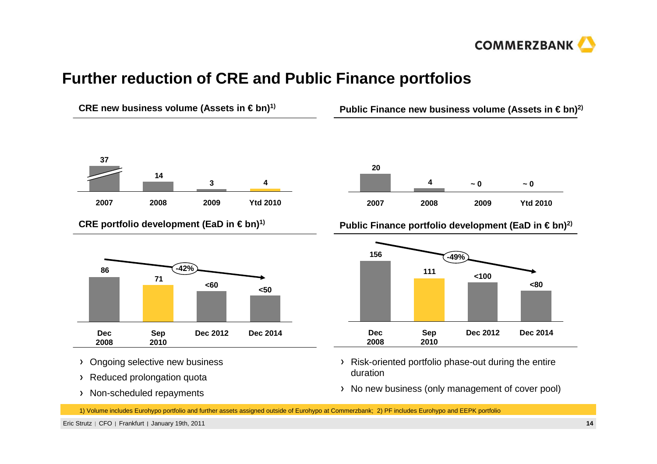

## **Further reduction of CRE and Public Finance portfolios**



1) Volume includes Eurohypo portfolio and further assets assigned outside of Eurohypo at Commerzbank; 2) PF includes Eurohypo and EEPK portfolio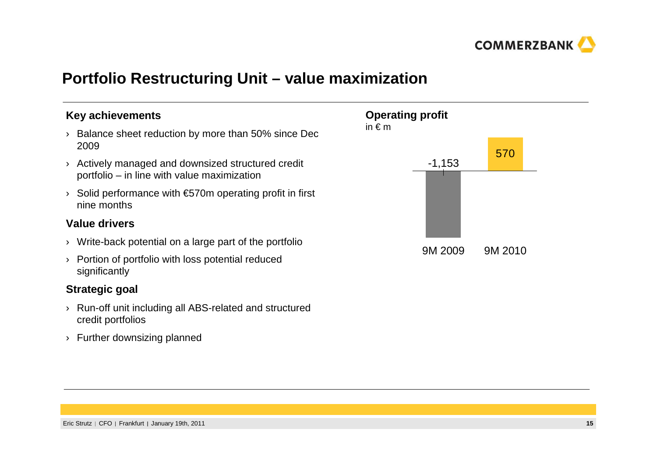

## **Portfolio Restructuring Unit – value maximization**

#### **Key achievements**

- › Balance sheet reduction by more than 50% since Dec2009
- › Actively managed and downsized structured credit portfolio – in line with value maximization
- › Solid performance with €570m operating profit in first nine months

#### **Value drivers**

- › Write-back potential on a large part of the portfolio
- › Portion of portfolio with loss potential reduced significantly

#### **Strategic goal**

- › Run-off unit including all ABS-related and structured credit portfolios
- › Further downsizing planned

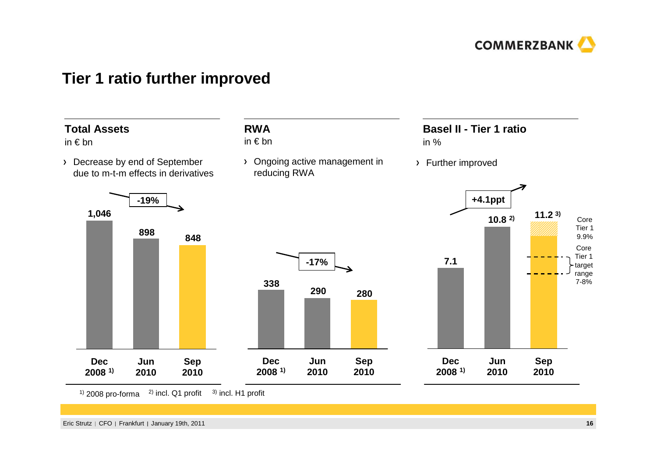

## **Tier 1 ratio further improved**



<sup>&</sup>lt;sup>1)</sup> 2008 pro-forma  $2)$  incl. Q1 profit <sup>3)</sup> incl. H1 profit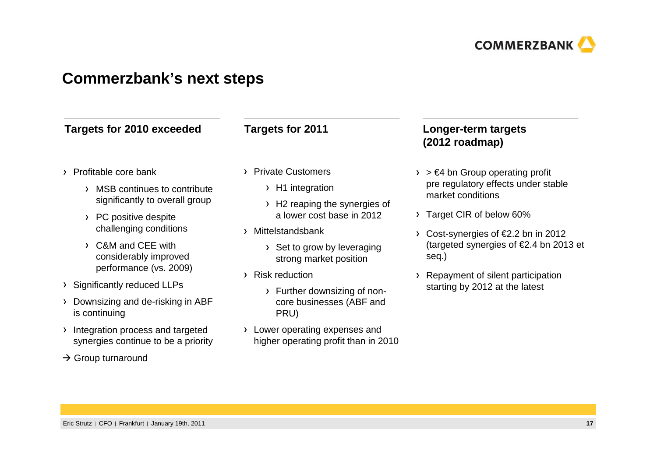

## **Commerzbank's next steps**

## **Targets for 2010 exceeded**

- Profitable core bank
	- MSB continues to contribute significantly to overall group
	- > PC positive despite challenging conditions
	- C&M and CEE with considerably improved performance (vs. 2009)
- > Significantly reduced LLPs
- > Downsizing and de-risking in ABF is continuing
- Integration process and targeted synergies continue to be a priority
- $\rightarrow$  Group turnaround

#### **Targets for 2011**

- Private Customers
	- H1 integration
	- H2 reaping the synergies of a lower cost base in 2012
- Mittelstandsbank
	- > Set to grow by leveraging strong market position
- Risk reduction
	- Further downsizing of noncore businesses (ABF and PRU)
- Lower operating expenses and higher operating profit than in 2010

### **Longer-term targets (2012 roadmap)**

- $\rightarrow$  >  $\in$ 4 bn Group operating profit pre regulatory effects under stable market conditions
- > Target CIR of below 60%
- Cost-synergies of €2.2 bn in 2012 (targeted synergies of €2.4 bn 2013 et seq.)
- Repayment of silent participation starting by 2012 at the latest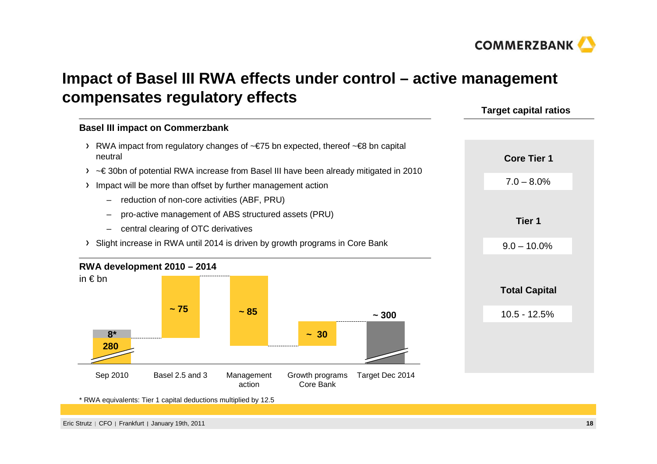

## **Impact of Basel III RWA effects under control – active managementcompensates regulatory effects**



\* RWA equivalents: Tier 1 capital deductions multiplied by 12.5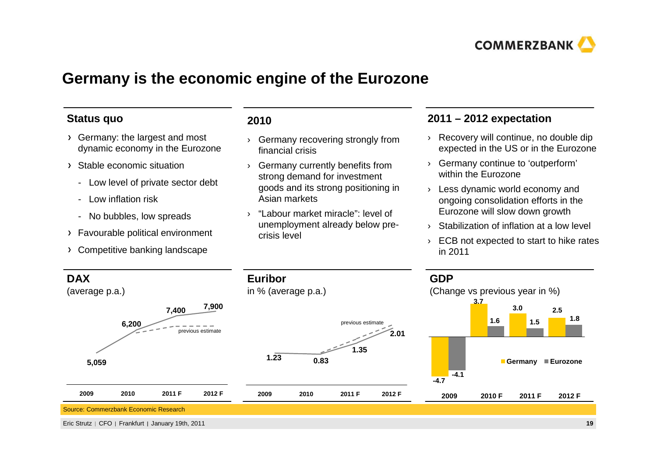

## **Germany is the economic engine of the Eurozone**

#### **Status quo**

- Germany: the largest and most dynamic economy in the Eurozone
- Stable economic situation
	- Low level of private sector debt
	- Low inflation risk
	- No bubbles, low spreads
- Favourable political environment
- Competitive banking landscape

#### **2010**

- › Germany recovering strongly from financial crisis
- › Germany currently benefits from strong demand for investment goods and its strong positioning in Asian markets
- › "Labour market miracle": level of unemployment already below precrisis level

#### **2011 – 2012 expectation**

- › Recovery will continue, no double dip expected in the US or in the Eurozone
- › Germany continue to 'outperform' within the Eurozone
- › Less dynamic world economy and ongoing consolidation efforts in the Eurozone will slow down growth
- $\rightarrow$  Stabilization of inflation at a low level
- › ECB not expected to start to hike rates in 2011

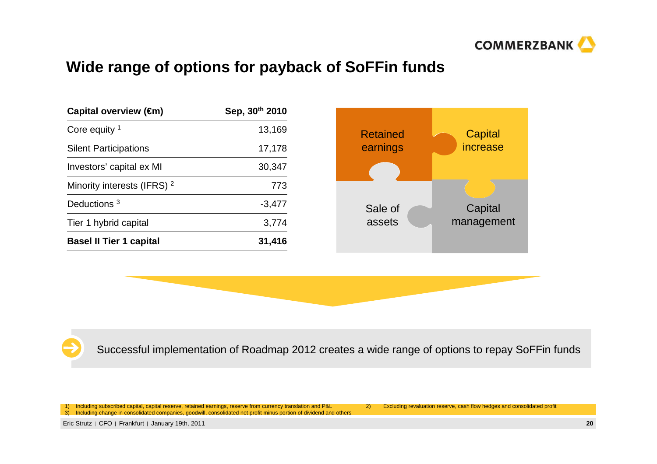

## **Wide range of options for payback of SoFFin funds**

| Capital overview (€m)                  | Sep, 30th 2010 |                 |            |
|----------------------------------------|----------------|-----------------|------------|
| Core equity $1$                        | 13,169         | <b>Retained</b> | Capital    |
| <b>Silent Participations</b>           | 17,178         | earnings        | increase   |
| Investors' capital ex MI               | 30,347         |                 |            |
| Minority interests (IFRS) <sup>2</sup> | 773            |                 |            |
| Deductions <sup>3</sup>                | $-3,477$       | Sale of         | Capital    |
| Tier 1 hybrid capital                  | 3,774          | assets          | management |
| <b>Basel II Tier 1 capital</b>         | 31,416         |                 |            |

Successful implementation of Roadmap 2012 creates a wide range of options to repay SoFFin funds

1) Including subscribed capital, capital reserve, retained earnings, reserve from currency translation and P&L 2) Excluding revaluation reserve, cash flow hedges and consolidated profit 3) Including change in consolidated companies, goodwill, consolidated net profit minus portion of dividend and others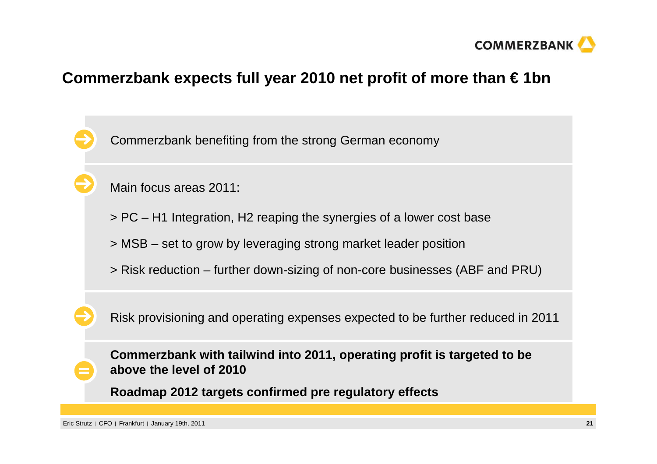

## **Commerzbank expects full year 2010 net profit of more than € 1bn**

Commerzbank benefiting from the strong German economy

Main focus areas 2011:

> PC – H1 Integration, H2 reaping the synergies of a lower cost base

> MSB – set to grow by leveraging strong market leader position

> Risk reduction – further down-sizing of non-core businesses (ABF and PRU)

Risk provisioning and operating expenses expected to be further reduced in 2011

**Commerzbank with tailwind into 2011, operating profit is targeted to be above the level of 2010**

**Roadmap 2012 targets confirmed pre regulatory effects**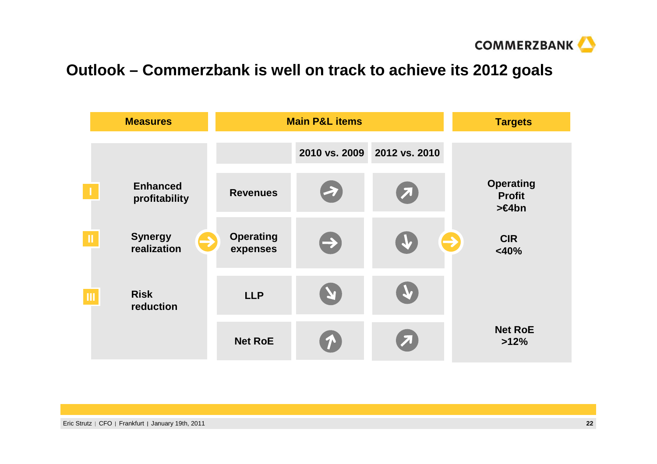

## **Outlook – Commerzbank is well on track to achieve its 2012 goals**

|              | <b>Measures</b>                  |                              | <b>Main P&amp;L items</b> |                 | <b>Targets</b>                                    |
|--------------|----------------------------------|------------------------------|---------------------------|-----------------|---------------------------------------------------|
|              |                                  |                              | 2010 vs. 2009             | 2012 vs. 2010   |                                                   |
|              | <b>Enhanced</b><br>profitability | <b>Revenues</b>              | $\rightarrow$             | ${\mathcal{F}}$ | <b>Operating</b><br><b>Profit</b><br>$> \in 4$ bn |
| $\mathbf{I}$ | <b>Synergy</b><br>realization    | <b>Operating</b><br>expenses | $\bigoplus$               | <b>J</b>        | $\rightarrow$<br><b>CIR</b><br>< 40%              |
| Ш            | <b>Risk</b><br>reduction         | <b>LLP</b>                   | E                         |                 |                                                   |
|              |                                  | <b>Net RoE</b>               | $\boldsymbol{\tau}$       |                 | <b>Net RoE</b><br>>12%                            |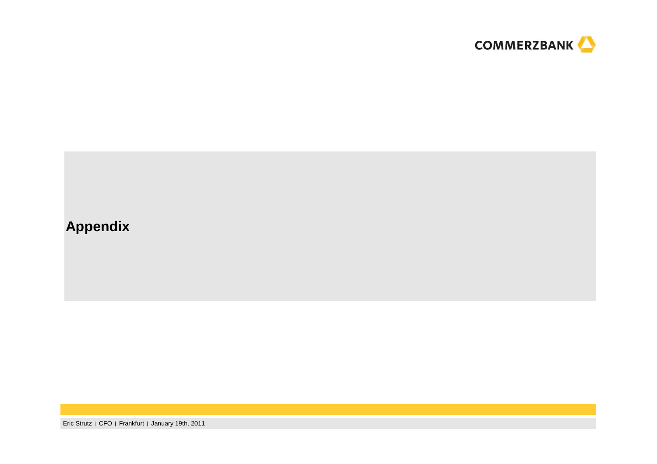

# **Appendix**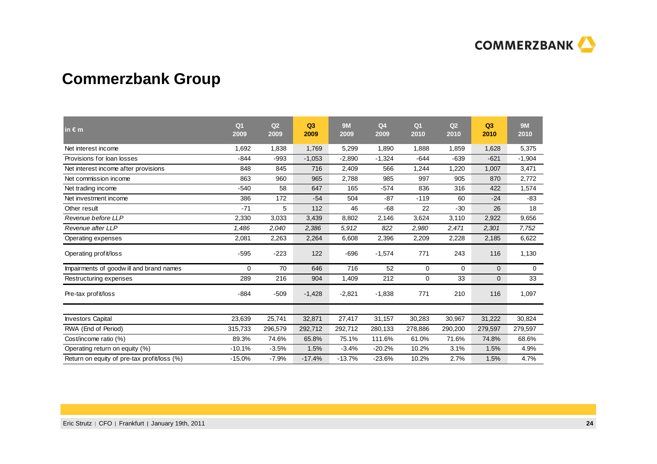

## **Commerzbank Group**

| in $\epsilon$ m                             | Q <sub>1</sub><br>2009 | Q2<br>2009 | Q <sub>3</sub><br>2009 | <b>9M</b><br>2009 | Q <sub>4</sub><br>2009 | Q <sub>1</sub><br>2010 | Q <sub>2</sub><br>2010 | Q <sub>3</sub><br>2010 | <b>9M</b><br>2010 |
|---------------------------------------------|------------------------|------------|------------------------|-------------------|------------------------|------------------------|------------------------|------------------------|-------------------|
| Net interest income                         | 1,692                  | 1,838      | 1,769                  | 5,299             | 1,890                  | 1,888                  | 1,859                  | 1,628                  | 5,375             |
| Provisions for loan losses                  | $-844$                 | $-993$     | $-1,053$               | $-2,890$          | $-1,324$               | $-644$                 | $-639$                 | $-621$                 | $-1,904$          |
| Net interest income after provisions        | 848                    | 845        | 716                    | 2,409             | 566                    | 1,244                  | 1,220                  | 1,007                  | 3,471             |
| Net commission income                       | 863                    | 960        | 965                    | 2,788             | 985                    | 997                    | 905                    | 870                    | 2,772             |
| Net trading income                          | $-540$                 | 58         | 647                    | 165               | $-574$                 | 836                    | 316                    | 422                    | 1,574             |
| Net investment income                       | 386                    | 172        | $-54$                  | 504               | $-87$                  | $-119$                 | 60                     | $-24$                  | $-83$             |
| Other result                                | $-71$                  | 5          | 112                    | 46                | $-68$                  | 22                     | $-30$                  | 26                     | 18                |
| Revenue before LLP                          | 2,330                  | 3,033      | 3,439                  | 8,802             | 2,146                  | 3,624                  | 3,110                  | 2,922                  | 9,656             |
| Revenue after LLP                           | 1,486                  | 2,040      | 2,386                  | 5,912             | 822                    | 2,980                  | 2,471                  | 2,301                  | 7,752             |
| Operating expenses                          | 2,081                  | 2,263      | 2,264                  | 6,608             | 2,396                  | 2,209                  | 2,228                  | 2,185                  | 6,622             |
| Operating profit/loss                       | $-595$                 | $-223$     | 122                    | $-696$            | $-1,574$               | 771                    | 243                    | 116                    | 1,130             |
| Impairments of goodwill and brand names     | $\Omega$               | 70         | 646                    | 716               | 52                     | $\mathbf 0$            | $\mathbf 0$            | $\mathbf{0}$           | $\mathbf 0$       |
| Restructuring expenses                      | 289                    | 216        | 904                    | 1,409             | 212                    | $\mathbf 0$            | 33                     | $\mathbf 0$            | 33                |
| Pre-tax profit/loss                         | $-884$                 | $-509$     | $-1,428$               | $-2,821$          | $-1,838$               | 771                    | 210                    | 116                    | 1,097             |
|                                             |                        |            |                        |                   |                        |                        |                        |                        |                   |
| <b>Investors Capital</b>                    | 23,639                 | 25,741     | 32,871                 | 27,417            | 31,157                 | 30,283                 | 30,967                 | 31,222                 | 30,824            |
| RWA (End of Period)                         | 315,733                | 296,579    | 292,712                | 292,712           | 280,133                | 278,886                | 290,200                | 279,597                | 279,597           |
| Cost/income ratio (%)                       | 89.3%                  | 74.6%      | 65.8%                  | 75.1%             | 111.6%                 | 61.0%                  | 71.6%                  | 74.8%                  | 68.6%             |
| Operating return on equity (%)              | $-10.1%$               | $-3.5%$    | 1.5%                   | $-3.4%$           | $-20.2%$               | 10.2%                  | 3.1%                   | 1.5%                   | 4.9%              |
| Return on equity of pre-tax profit/loss (%) | $-15.0%$               | $-7.9%$    | $-17.4%$               | $-13.7%$          | $-23.6%$               | 10.2%                  | 2.7%                   | 1.5%                   | 4.7%              |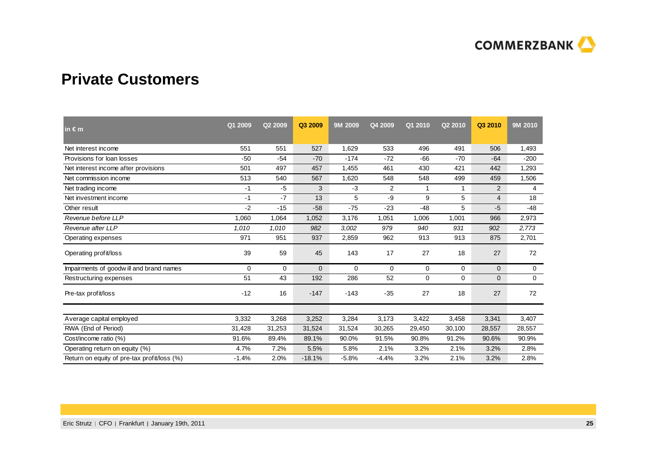

## **Private Customers**

| in $\epsilon$ m                             | Q1 2009 | Q2 2009  | Q3 2009      | 9M 2009     | Q4 2009     | Q1 2010     | Q2 2010 | Q3 2010        | 9M 2010 |
|---------------------------------------------|---------|----------|--------------|-------------|-------------|-------------|---------|----------------|---------|
| Net interest income                         | 551     | 551      | 527          | 1,629       | 533         | 496         | 491     | 506            | 1,493   |
| Provisions for loan losses                  | $-50$   | $-54$    | $-70$        | $-174$      | $-72$       | $-66$       | $-70$   | $-64$          | $-200$  |
| Net interest income after provisions        | 501     | 497      | 457          | 1,455       | 461         | 430         | 421     | 442            | 1,293   |
| Net commission income                       | 513     | 540      | 567          | 1,620       | 548         | 548         | 499     | 459            | 1,506   |
| Net trading income                          | $-1$    | $-5$     | 3            | $-3$        | 2           | 1           | 1       | $\overline{2}$ | 4       |
| Net investment income                       | $-1$    | $-7$     | 13           | 5           | -9          | 9           | 5       | 4              | 18      |
| Other result                                | $-2$    | $-15$    | $-58$        | $-75$       | $-23$       | $-48$       | 5       | -5             | $-48$   |
| Revenue before LLP                          | 1,060   | 1,064    | 1,052        | 3,176       | 1,051       | 1,006       | 1,001   | 966            | 2,973   |
| Revenue after LLP                           | 1,010   | 1,010    | 982          | 3,002       | 979         | 940         | 931     | 902            | 2,773   |
| Operating expenses                          | 971     | 951      | 937          | 2,859       | 962         | 913         | 913     | 875            | 2,701   |
| Operating profit/loss                       | 39      | 59       | 45           | 143         | 17          | 27          | 18      | 27             | 72      |
| Impairments of goodwill and brand names     | 0       | $\Omega$ | $\mathbf{0}$ | $\mathbf 0$ | $\mathbf 0$ | $\mathbf 0$ | 0       | $\overline{0}$ | 0       |
| Restructuring expenses                      | 51      | 43       | 192          | 286         | 52          | 0           | 0       | $\overline{0}$ | 0       |
| Pre-tax profit/loss                         | $-12$   | 16       | $-147$       | $-143$      | $-35$       | 27          | 18      | 27             | 72      |
|                                             |         |          |              |             |             |             |         |                |         |
| Average capital employed                    | 3,332   | 3,268    | 3,252        | 3,284       | 3,173       | 3,422       | 3,458   | 3,341          | 3,407   |
| RWA (End of Period)                         | 31,428  | 31,253   | 31,524       | 31,524      | 30,265      | 29,450      | 30,100  | 28,557         | 28,557  |
| Cost/income ratio (%)                       | 91.6%   | 89.4%    | 89.1%        | 90.0%       | 91.5%       | 90.8%       | 91.2%   | 90.6%          | 90.9%   |
| Operating return on equity (%)              | 4.7%    | 7.2%     | 5.5%         | 5.8%        | 2.1%        | 3.2%        | 2.1%    | 3.2%           | 2.8%    |
| Return on equity of pre-tax profit/loss (%) | $-1.4%$ | 2.0%     | $-18.1%$     | $-5.8%$     | $-4.4%$     | 3.2%        | 2.1%    | 3.2%           | 2.8%    |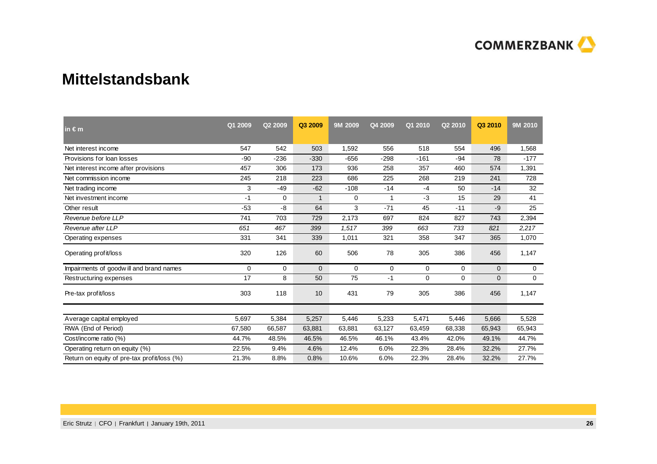

## **Mittelstandsbank**

| in $\epsilon$ m                             | Q1 2009 | Q2 2009     | Q3 2009      | 9M 2009     | Q4 2009     | Q1 2010     | Q2 2010  | Q3 2010        | 9M 2010 |
|---------------------------------------------|---------|-------------|--------------|-------------|-------------|-------------|----------|----------------|---------|
| Net interest income                         | 547     | 542         | 503          | 1,592       | 556         | 518         | 554      | 496            | 1,568   |
| Provisions for loan losses                  | $-90$   | $-236$      | $-330$       | $-656$      | $-298$      | $-161$      | $-94$    | 78             | $-177$  |
| Net interest income after provisions        | 457     | 306         | 173          | 936         | 258         | 357         | 460      | 574            | 1,391   |
| Net commission income                       | 245     | 218         | 223          | 686         | 225         | 268         | 219      | 241            | 728     |
| Net trading income                          | 3       | $-49$       | $-62$        | $-108$      | $-14$       | $-4$        | 50       | $-14$          | 32      |
| Net investment income                       | $-1$    | $\Omega$    | $\mathbf{1}$ | 0           | 1           | $-3$        | 15       | 29             | 41      |
| Other result                                | $-53$   | -8          | 64           | 3           | $-71$       | 45          | $-11$    | -9             | 25      |
| Revenue before LLP                          | 741     | 703         | 729          | 2,173       | 697         | 824         | 827      | 743            | 2,394   |
| Revenue after LLP                           | 651     | 467         | 399          | 1,517       | 399         | 663         | 733      | 821            | 2,217   |
| Operating expenses                          | 331     | 341         | 339          | 1,011       | 321         | 358         | 347      | 365            | 1,070   |
| Operating profit/loss                       | 320     | 126         | 60           | 506         | 78          | 305         | 386      | 456            | 1,147   |
| Impairments of goodwill and brand names     | 0       | $\mathbf 0$ | $\mathbf{0}$ | $\mathbf 0$ | $\mathbf 0$ | $\mathbf 0$ | 0        | $\Omega$       | 0       |
| Restructuring expenses                      | 17      | 8           | 50           | 75          | $-1$        | $\Omega$    | $\Omega$ | $\overline{0}$ | 0       |
| Pre-tax profit/loss                         | 303     | 118         | 10           | 431         | 79          | 305         | 386      | 456            | 1,147   |
|                                             |         |             |              |             |             |             |          |                |         |
| Average capital employed                    | 5,697   | 5,384       | 5,257        | 5,446       | 5,233       | 5,471       | 5,446    | 5,666          | 5,528   |
| RWA (End of Period)                         | 67,580  | 66,587      | 63,881       | 63,881      | 63,127      | 63,459      | 68,338   | 65,943         | 65,943  |
| Cost/income ratio (%)                       | 44.7%   | 48.5%       | 46.5%        | 46.5%       | 46.1%       | 43.4%       | 42.0%    | 49.1%          | 44.7%   |
| Operating return on equity (%)              | 22.5%   | 9.4%        | 4.6%         | 12.4%       | 6.0%        | 22.3%       | 28.4%    | 32.2%          | 27.7%   |
| Return on equity of pre-tax profit/loss (%) | 21.3%   | 8.8%        | 0.8%         | 10.6%       | 6.0%        | 22.3%       | 28.4%    | 32.2%          | 27.7%   |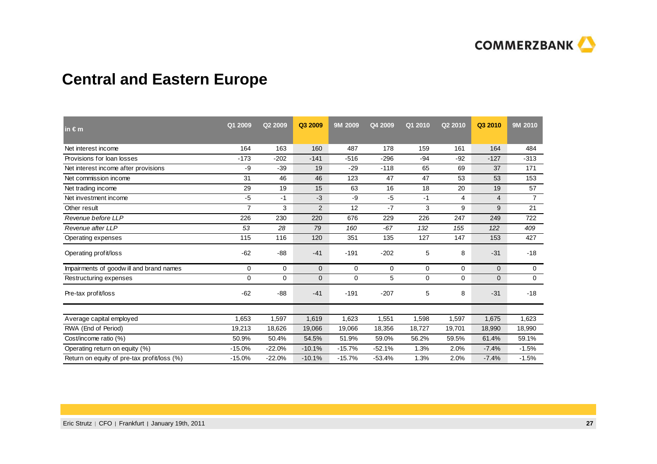

## **Central and Eastern Europe**

| in $\epsilon$ m                             | Q1 2009        | Q2 2009     | Q3 2009     | 9M 2009     | Q4 2009  | Q1 2010     | Q2 2010     | Q3 2010        | 9M 2010        |
|---------------------------------------------|----------------|-------------|-------------|-------------|----------|-------------|-------------|----------------|----------------|
| Net interest income                         | 164            | 163         | 160         | 487         | 178      | 159         | 161         | 164            | 484            |
| Provisions for loan losses                  | $-173$         | $-202$      | $-141$      | $-516$      | $-296$   | $-94$       | $-92$       | $-127$         | $-313$         |
| Net interest income after provisions        | $-9$           | $-39$       | 19          | $-29$       | $-118$   | 65          | 69          | 37             | 171            |
| Net commission income                       | 31             | 46          | 46          | 123         | 47       | 47          | 53          | 53             | 153            |
| Net trading income                          | 29             | 19          | 15          | 63          | 16       | 18          | 20          | 19             | 57             |
| Net investment income                       | $-5$           | $-1$        | $-3$        | -9          | $-5$     | $-1$        | 4           | 4              | $\overline{7}$ |
| Other result                                | $\overline{7}$ | 3           | 2           | 12          | $-7$     | 3           | 9           | 9              | 21             |
| Revenue before LLP                          | 226            | 230         | 220         | 676         | 229      | 226         | 247         | 249            | 722            |
| Revenue after LLP                           | 53             | 28          | 79          | 160         | $-67$    | 132         | 155         | 122            | 409            |
| Operating expenses                          | 115            | 116         | 120         | 351         | 135      | 127         | 147         | 153            | 427            |
| Operating profit/loss                       | $-62$          | $-88$       | $-41$       | $-191$      | $-202$   | 5           | 8           | $-31$          | $-18$          |
| Impairments of goodwill and brand names     | $\mathbf 0$    | $\mathbf 0$ | $\mathbf 0$ | $\mathbf 0$ | 0        | $\mathbf 0$ | $\mathbf 0$ | $\overline{0}$ | $\mathbf 0$    |
| Restructuring expenses                      | 0              | $\mathbf 0$ | 0           | $\mathbf 0$ | 5        | 0           | 0           | $\overline{0}$ | $\mathbf 0$    |
| Pre-tax profit/loss                         | $-62$          | $-88$       | $-41$       | $-191$      | $-207$   | 5           | 8           | $-31$          | $-18$          |
|                                             |                |             |             |             |          |             |             |                |                |
| Average capital employed                    | 1,653          | 1,597       | 1,619       | 1,623       | 1,551    | 1,598       | 1,597       | 1,675          | 1,623          |
| RWA (End of Period)                         | 19,213         | 18,626      | 19,066      | 19,066      | 18,356   | 18,727      | 19,701      | 18,990         | 18,990         |
| Cost/income ratio (%)                       | 50.9%          | 50.4%       | 54.5%       | 51.9%       | 59.0%    | 56.2%       | 59.5%       | 61.4%          | 59.1%          |
| Operating return on equity (%)              | $-15.0%$       | $-22.0%$    | $-10.1%$    | $-15.7%$    | $-52.1%$ | 1.3%        | 2.0%        | $-7.4%$        | $-1.5%$        |
| Return on equity of pre-tax profit/loss (%) | $-15.0%$       | $-22.0%$    | $-10.1%$    | $-15.7%$    | $-53.4%$ | 1.3%        | 2.0%        | $-7.4%$        | $-1.5%$        |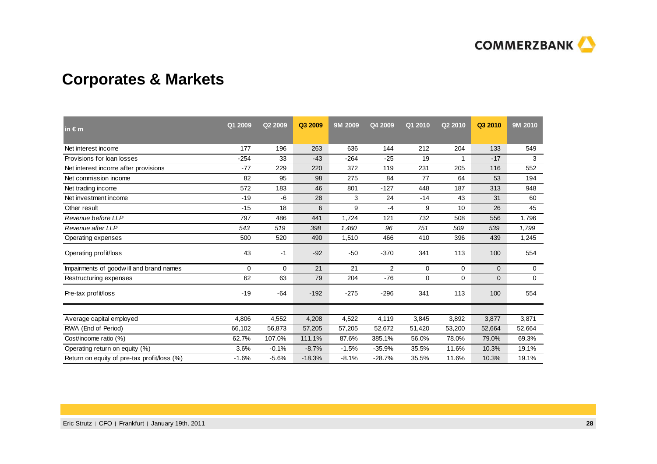

## **Corporates & Markets**

| in $\epsilon$ m                             | Q1 2009 | Q2 2009 | Q3 2009  | 9M 2009 | Q4 2009        | Q1 2010     | Q2 2010     | Q3 2010        | 9M 2010     |
|---------------------------------------------|---------|---------|----------|---------|----------------|-------------|-------------|----------------|-------------|
| Net interest income                         | 177     | 196     | 263      | 636     | 144            | 212         | 204         | 133            | 549         |
| Provisions for loan losses                  | $-254$  | 33      | $-43$    | $-264$  | $-25$          | 19          | 1           | $-17$          | 3           |
| Net interest income after provisions        | $-77$   | 229     | 220      | 372     | 119            | 231         | 205         | 116            | 552         |
| Net commission income                       | 82      | 95      | 98       | 275     | 84             | 77          | 64          | 53             | 194         |
| Net trading income                          | 572     | 183     | 46       | 801     | $-127$         | 448         | 187         | 313            | 948         |
| Net investment income                       | $-19$   | $-6$    | 28       | 3       | 24             | $-14$       | 43          | 31             | 60          |
| Other result                                | $-15$   | 18      | 6        | 9       | $-4$           | 9           | 10          | 26             | 45          |
| Revenue before LLP                          | 797     | 486     | 441      | 1,724   | 121            | 732         | 508         | 556            | 1,796       |
| Revenue after LLP                           | 543     | 519     | 398      | 1,460   | 96             | 751         | 509         | 539            | 1,799       |
| Operating expenses                          | 500     | 520     | 490      | 1,510   | 466            | 410         | 396         | 439            | 1,245       |
| Operating profit/loss                       | 43      | $-1$    | $-92$    | $-50$   | $-370$         | 341         | 113         | 100            | 554         |
| Impairments of goodwill and brand names     | 0       | 0       | 21       | 21      | $\overline{c}$ | 0           | 0           | $\overline{0}$ | 0           |
| Restructuring expenses                      | 62      | 63      | 79       | 204     | $-76$          | $\mathbf 0$ | $\mathbf 0$ | 0              | $\mathbf 0$ |
| Pre-tax profit/loss                         | $-19$   | $-64$   | $-192$   | $-275$  | $-296$         | 341         | 113         | 100            | 554         |
|                                             |         |         |          |         |                |             |             |                |             |
| Average capital employed                    | 4,806   | 4,552   | 4,208    | 4,522   | 4,119          | 3,845       | 3,892       | 3,877          | 3,871       |
| RWA (End of Period)                         | 66,102  | 56,873  | 57,205   | 57,205  | 52,672         | 51,420      | 53,200      | 52,664         | 52,664      |
| Cost/income ratio (%)                       | 62.7%   | 107.0%  | 111.1%   | 87.6%   | 385.1%         | 56.0%       | 78.0%       | 79.0%          | 69.3%       |
| Operating return on equity (%)              | 3.6%    | $-0.1%$ | $-8.7%$  | $-1.5%$ | $-35.9%$       | 35.5%       | 11.6%       | 10.3%          | 19.1%       |
| Return on equity of pre-tax profit/loss (%) | $-1.6%$ | $-5.6%$ | $-18.3%$ | $-8.1%$ | $-28.7%$       | 35.5%       | 11.6%       | 10.3%          | 19.1%       |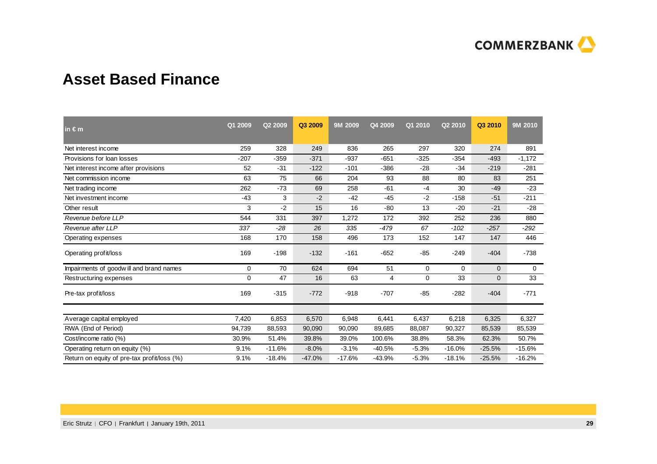

## **Asset Based Finance**

| in $\epsilon$ m                             | Q1 2009 | Q2 2009  | Q3 2009  | 9M 2009  | Q4 2009  | Q1 2010     | Q2 2010  | Q3 2010      | 9M 2010  |
|---------------------------------------------|---------|----------|----------|----------|----------|-------------|----------|--------------|----------|
| Net interest income                         | 259     | 328      | 249      | 836      | 265      | 297         | 320      | 274          | 891      |
| Provisions for loan losses                  | $-207$  | $-359$   | $-371$   | $-937$   | $-651$   | $-325$      | $-354$   | $-493$       | $-1,172$ |
| Net interest income after provisions        | 52      | $-31$    | $-122$   | $-101$   | $-386$   | $-28$       | $-34$    | $-219$       | $-281$   |
| Net commission income                       | 63      | 75       | 66       | 204      | 93       | 88          | 80       | 83           | 251      |
| Net trading income                          | 262     | $-73$    | 69       | 258      | $-61$    | $-4$        | 30       | $-49$        | $-23$    |
| Net investment income                       | $-43$   | 3        | $-2$     | $-42$    | $-45$    | $-2$        | $-158$   | $-51$        | $-211$   |
| Other result                                | 3       | $-2$     | 15       | 16       | $-80$    | 13          | $-20$    | $-21$        | $-28$    |
| Revenue before LLP                          | 544     | 331      | 397      | 1,272    | 172      | 392         | 252      | 236          | 880      |
| Revenue after LLP                           | 337     | $-28$    | 26       | 335      | $-479$   | 67          | $-102$   | $-257$       | $-292$   |
| Operating expenses                          | 168     | 170      | 158      | 496      | 173      | 152         | 147      | 147          | 446      |
| Operating profit/loss                       | 169     | $-198$   | $-132$   | $-161$   | $-652$   | $-85$       | $-249$   | $-404$       | $-738$   |
| Impairments of goodwill and brand names     | 0       | 70       | 624      | 694      | 51       | $\mathbf 0$ | $\Omega$ | $\Omega$     | 0        |
| Restructuring expenses                      | 0       | 47       | 16       | 63       | 4        | $\mathbf 0$ | 33       | $\mathbf{0}$ | 33       |
| Pre-tax profit/loss                         | 169     | $-315$   | $-772$   | $-918$   | $-707$   | $-85$       | $-282$   | $-404$       | $-771$   |
|                                             |         |          |          |          |          |             |          |              |          |
| Average capital employed                    | 7,420   | 6,853    | 6,570    | 6,948    | 6,441    | 6,437       | 6,218    | 6,325        | 6,327    |
| RWA (End of Period)                         | 94.739  | 88,593   | 90,090   | 90,090   | 89,685   | 88,087      | 90,327   | 85,539       | 85,539   |
| Cost/income ratio (%)                       | 30.9%   | 51.4%    | 39.8%    | 39.0%    | 100.6%   | 38.8%       | 58.3%    | 62.3%        | 50.7%    |
| Operating return on equity (%)              | 9.1%    | $-11.6%$ | $-8.0%$  | $-3.1%$  | $-40.5%$ | $-5.3%$     | $-16.0%$ | $-25.5%$     | $-15.6%$ |
| Return on equity of pre-tax profit/loss (%) | 9.1%    | $-18.4%$ | $-47.0%$ | $-17.6%$ | $-43.9%$ | $-5.3%$     | $-18.1%$ | $-25.5%$     | $-16.2%$ |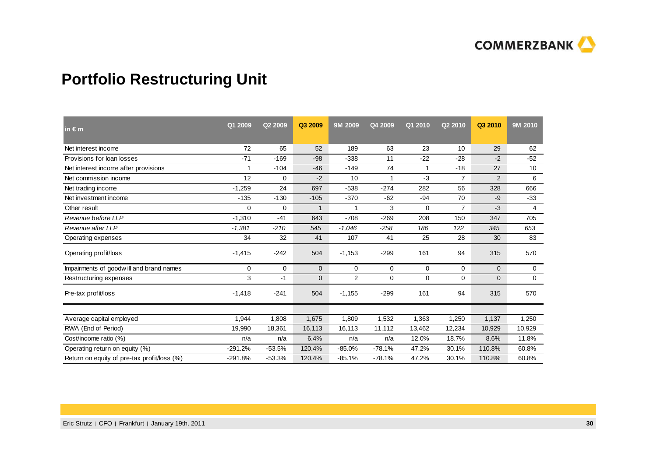

## **Portfolio Restructuring Unit**

| in $\epsilon$ m                             | Q1 2009     | Q2 2009     | Q3 2009        | 9M 2009     | Q4 2009     | Q1 2010     | Q2 2010        | Q3 2010        | 9M 2010        |
|---------------------------------------------|-------------|-------------|----------------|-------------|-------------|-------------|----------------|----------------|----------------|
| Net interest income                         | 72          | 65          | 52             | 189         | 63          | 23          | 10             | 29             | 62             |
| Provisions for loan losses                  | $-71$       | $-169$      | $-98$          | $-338$      | 11          | $-22$       | $-28$          | $-2$           | $-52$          |
| Net interest income after provisions        | 1           | $-104$      | $-46$          | $-149$      | 74          | -1          | $-18$          | 27             | 10             |
| Net commission income                       | 12          | 0           | $-2$           | 10          | 1           | $-3$        | $\overline{7}$ | $\overline{2}$ | 6              |
| Net trading income                          | $-1,259$    | 24          | 697            | $-538$      | $-274$      | 282         | 56             | 328            | 666            |
| Net investment income                       | $-135$      | $-130$      | $-105$         | $-370$      | $-62$       | $-94$       | 70             | $-9$           | $-33$          |
| Other result                                | 0           | 0           | $\mathbf{1}$   | -1          | 3           | $\Omega$    | $\overline{7}$ | -3             | $\overline{4}$ |
| Revenue before LLP                          | $-1,310$    | $-41$       | 643            | $-708$      | $-269$      | 208         | 150            | 347            | 705            |
| Revenue after LLP                           | $-1,381$    | $-210$      | 545            | $-1,046$    | $-258$      | 186         | 122            | 345            | 653            |
| Operating expenses                          | 34          | 32          | 41             | 107         | 41          | 25          | 28             | 30             | 83             |
| Operating profit/loss                       | $-1,415$    | $-242$      | 504            | $-1,153$    | $-299$      | 161         | 94             | 315            | 570            |
| Impairments of goodwill and brand names     | $\mathbf 0$ | $\mathbf 0$ | $\overline{0}$ | $\mathbf 0$ | 0           | $\mathbf 0$ | $\mathbf 0$    | $\Omega$       | $\mathbf 0$    |
| Restructuring expenses                      | 3           | $-1$        | $\overline{0}$ | 2           | $\mathbf 0$ | $\mathbf 0$ | $\Omega$       | $\overline{0}$ | $\mathbf 0$    |
| Pre-tax profit/loss                         | $-1,418$    | $-241$      | 504            | $-1,155$    | $-299$      | 161         | 94             | 315            | 570            |
|                                             |             |             |                |             |             |             |                |                |                |
| Average capital employed                    | 1.944       | 1,808       | 1,675          | 1,809       | 1,532       | 1,363       | 1,250          | 1,137          | 1,250          |
| RWA (End of Period)                         | 19,990      | 18,361      | 16,113         | 16,113      | 11,112      | 13,462      | 12,234         | 10,929         | 10,929         |
| Cost/income ratio (%)                       | n/a         | n/a         | 6.4%           | n/a         | n/a         | 12.0%       | 18.7%          | 8.6%           | 11.8%          |
| Operating return on equity (%)              | $-291.2%$   | $-53.5%$    | 120.4%         | $-85.0%$    | $-78.1%$    | 47.2%       | 30.1%          | 110.8%         | 60.8%          |
| Return on equity of pre-tax profit/loss (%) | $-291.8%$   | $-53.3%$    | 120.4%         | $-85.1%$    | $-78.1%$    | 47.2%       | 30.1%          | 110.8%         | 60.8%          |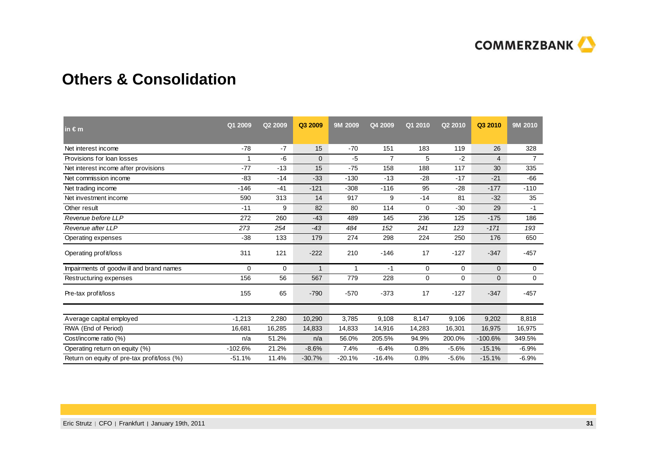

## **Others & Consolidation**

| in $\epsilon$ m                             | Q1 2009   | Q2 2009 | Q3 2009      | 9M 2009  | Q4 2009        | Q1 2010     | Q2 2010 | Q3 2010        | 9M 2010        |
|---------------------------------------------|-----------|---------|--------------|----------|----------------|-------------|---------|----------------|----------------|
| Net interest income                         | $-78$     | $-7$    | 15           | $-70$    | 151            | 183         | 119     | 26             | 328            |
| Provisions for loan losses                  | 1         | $-6$    | 0            | $-5$     | $\overline{7}$ | 5           | $-2$    | 4              | $\overline{7}$ |
| Net interest income after provisions        | $-77$     | $-13$   | 15           | $-75$    | 158            | 188         | 117     | 30             | 335            |
| Net commission income                       | $-83$     | $-14$   | $-33$        | $-130$   | $-13$          | $-28$       | $-17$   | $-21$          | $-66$          |
| Net trading income                          | $-146$    | $-41$   | $-121$       | $-308$   | $-116$         | 95          | $-28$   | $-177$         | $-110$         |
| Net investment income                       | 590       | 313     | 14           | 917      | 9              | $-14$       | 81      | $-32$          | 35             |
| Other result                                | $-11$     | 9       | 82           | 80       | 114            | $\mathbf 0$ | $-30$   | 29             | $-1$           |
| Revenue before LLP                          | 272       | 260     | $-43$        | 489      | 145            | 236         | 125     | $-175$         | 186            |
| Revenue after LLP                           | 273       | 254     | $-43$        | 484      | 152            | 241         | 123     | $-171$         | 193            |
| Operating expenses                          | $-38$     | 133     | 179          | 274      | 298            | 224         | 250     | 176            | 650            |
| Operating profit/loss                       | 311       | 121     | $-222$       | 210      | $-146$         | 17          | $-127$  | $-347$         | $-457$         |
| Impairments of goodwill and brand names     | 0         | 0       | $\mathbf{1}$ | 1        | $-1$           | 0           | 0       | $\overline{0}$ | $\mathbf 0$    |
| Restructuring expenses                      | 156       | 56      | 567          | 779      | 228            | $\mathbf 0$ | 0       | $\overline{0}$ | $\mathbf 0$    |
| Pre-tax profit/loss                         | 155       | 65      | $-790$       | $-570$   | $-373$         | 17          | $-127$  | $-347$         | $-457$         |
|                                             |           |         |              |          |                |             |         |                |                |
| Average capital employed                    | $-1,213$  | 2,280   | 10,290       | 3,785    | 9,108          | 8,147       | 9,106   | 9,202          | 8,818          |
| RWA (End of Period)                         | 16,681    | 16,285  | 14,833       | 14,833   | 14,916         | 14,283      | 16,301  | 16,975         | 16,975         |
| Cost/income ratio (%)                       | n/a       | 51.2%   | n/a          | 56.0%    | 205.5%         | 94.9%       | 200.0%  | $-100.6%$      | 349.5%         |
| Operating return on equity (%)              | $-102.6%$ | 21.2%   | $-8.6%$      | 7.4%     | $-6.4%$        | 0.8%        | $-5.6%$ | $-15.1%$       | $-6.9%$        |
| Return on equity of pre-tax profit/loss (%) | $-51.1%$  | 11.4%   | $-30.7%$     | $-20.1%$ | $-16.4%$       | 0.8%        | $-5.6%$ | $-15.1%$       | $-6.9%$        |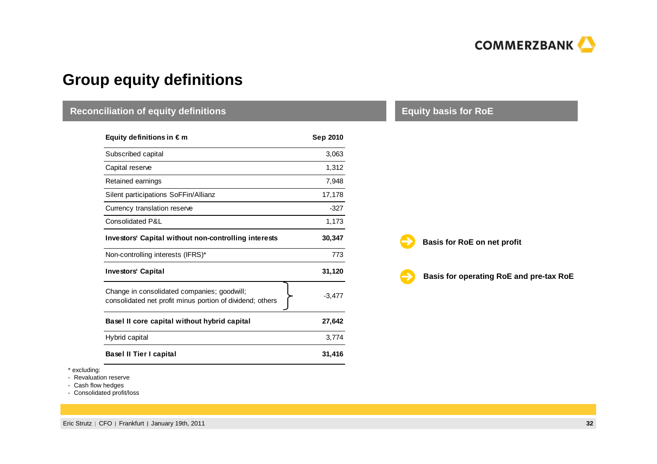

## **Group equity definitions**

#### **Reconciliation of equity definitions**

| Equity definitions in $\epsilon$ m                                                                       | <b>Sep 2010</b> |
|----------------------------------------------------------------------------------------------------------|-----------------|
| Subscribed capital                                                                                       | 3,063           |
| Capital reserve                                                                                          | 1,312           |
| Retained earnings                                                                                        | 7,948           |
| Silent participations SoFFin/Allianz                                                                     | 17,178          |
| Currency translation reserve                                                                             | $-327$          |
| Consolidated P&L                                                                                         | 1,173           |
| Investors' Capital without non-controlling interests                                                     | 30,347          |
| Non-controlling interests (IFRS)*                                                                        | 773             |
| Investors' Capital                                                                                       | 31,120          |
| Change in consolidated companies; goodwill;<br>consolidated net profit minus portion of dividend; others | -3,477          |
| Basel II core capital without hybrid capital                                                             | 27,642          |
| Hybrid capital                                                                                           | 3,774           |
| Basel II Tier I capital                                                                                  | 31,416          |

#### **Equity basis for RoE**





**Basis for operating RoE and pre-tax RoE**

\* excluding:

- Revaluation reserve

- Cash flow hedges

- Consolidated profit/loss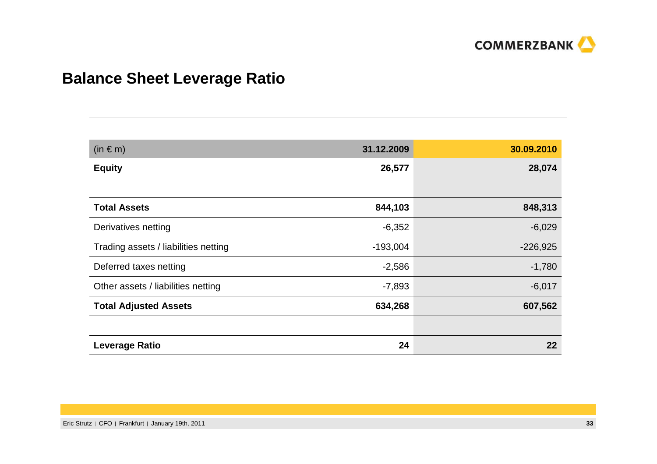

## **Balance Sheet Leverage Ratio**

| $(in \in m)$                         | 31.12.2009 | 30.09.2010 |
|--------------------------------------|------------|------------|
| <b>Equity</b>                        | 26,577     | 28,074     |
|                                      |            |            |
| <b>Total Assets</b>                  | 844,103    | 848,313    |
| Derivatives netting                  | $-6,352$   | $-6,029$   |
| Trading assets / liabilities netting | $-193,004$ | $-226,925$ |
| Deferred taxes netting               | $-2,586$   | $-1,780$   |
| Other assets / liabilities netting   | $-7,893$   | $-6,017$   |
| <b>Total Adjusted Assets</b>         | 634,268    | 607,562    |
|                                      |            |            |
| <b>Leverage Ratio</b>                | 24         | 22         |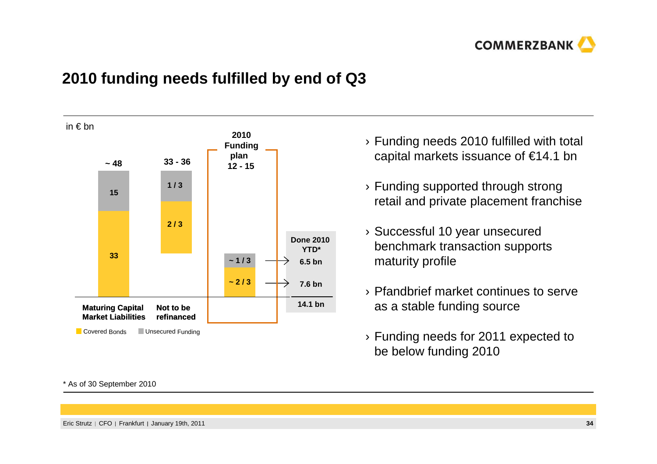

#### **Done 2010YTD\*6.5 bn7.6 bn14.1 bn~ 483315Maturing Capital Market Liabilities** $-2/3$ **Not to be refinanced 2 / 31/3Funding Fundingplanplan 12 - 15 ~ 1 / 3**Covered Bonds Unsecured Funding**33 - 36** $\begin{array}{c} \text{2010} \\ \text{Fundir} \\ \text{1/3} \end{array}$ <br>  $\begin{array}{c} \text{2010} \\ \text{Fundir} \\ \text{12 - 1!} \\ \text{1} \end{array}$ in € bn

## **2010 funding needs fulfilled by end of Q3**

\* As of 30 September 2010

- › Funding needs 2010 fulfilled with total capital markets issuance of €14.1 bn
- › Funding supported through strong retail and private placement franchise
- › Successful 10 year unsecured benchmark transaction supports maturity profile
- › Pfandbrief market continues to serve as a stable funding source
- › Funding needs for 2011 expected to be below funding 2010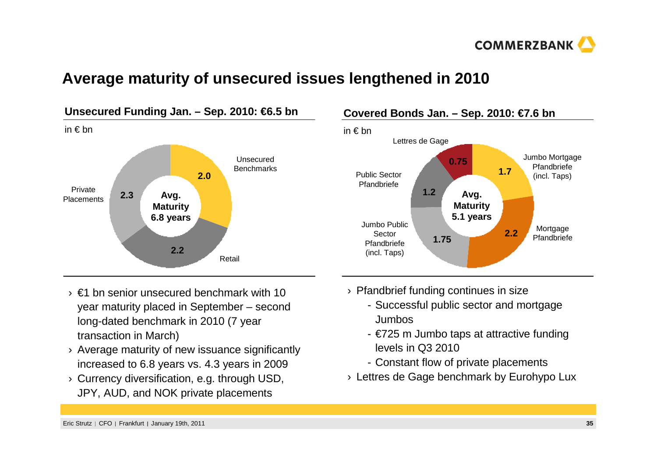

## **Average maturity of unsecured issues lengthened in 2010**





- $\rightarrow$  €1 bn senior unsecured benchmark with 10 year maturity placed in September – second long-dated benchmark in 2010 (7 year transaction in March)
- › Average maturity of new issuance significantly increased to 6.8 years vs. 4.3 years in 2009
- › Currency diversification, e.g. through USD, JPY, AUD, and NOK private placements
- › Pfandbrief funding continues in size
	- Successful public sector and mortgage Jumbos
	- €725 m Jumbo taps at attractive funding levels in Q3 2010
	- Constant flow of private placements
- › Lettres de Gage benchmark by Eurohypo Lux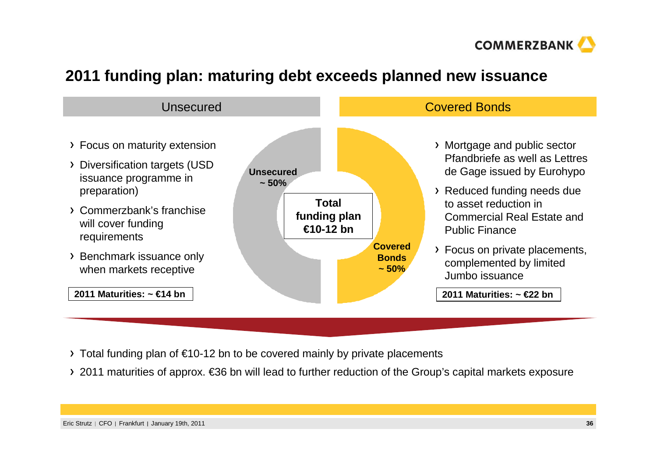



## **2011 funding plan: maturing debt exceeds planned new issuance**

- Total funding plan of €10-12 bn to be covered mainly by private placements
- 2011 maturities of approx. €36 bn will lead to further reduction of the Group's capital markets exposure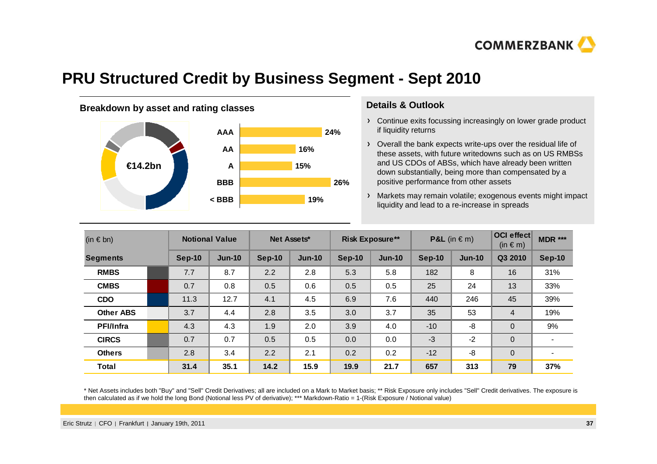

## **PRU Structured Credit by Business Segment - Sept 2010**



#### **Details & Outlook**

- Continue exits focussing increasingly on lower grade product if liquidity returns
- Overall the bank expects write-ups over the residual life of these assets, with future writedowns such as on US RMBSsand US CDOs of ABSs, which have already been written down substantially, being more than compensated by <sup>a</sup> positive performance from other assets
- Markets may remain volatile; exogenous events might impact

| (in $\notin$ bn) |  | <b>Notional Value</b> |               | Net Assets* |          | <b>Risk Exposure**</b> |          | <b>P&amp;L</b> (in $\in$ m) |          | <b>OCI</b> effect<br>$(in \in m)$ | MDR ***                  |
|------------------|--|-----------------------|---------------|-------------|----------|------------------------|----------|-----------------------------|----------|-----------------------------------|--------------------------|
| <b>Segments</b>  |  | Sep-10                | <b>Jun-10</b> | Sep-10      | $Jun-10$ | Sep-10                 | $Jun-10$ | Sep-10                      | $Jun-10$ | Q3 2010                           | <b>Sep-10</b>            |
| <b>RMBS</b>      |  | 7.7                   | 8.7           | 2.2         | 2.8      | 5.3                    | 5.8      | 182                         | 8        | 16                                | 31%                      |
| <b>CMBS</b>      |  | 0.7                   | 0.8           | 0.5         | 0.6      | 0.5                    | 0.5      | 25                          | 24       | 13                                | 33%                      |
| <b>CDO</b>       |  | 11.3                  | 12.7          | 4.1         | 4.5      | 6.9                    | 7.6      | 440                         | 246      | 45                                | 39%                      |
| <b>Other ABS</b> |  | 3.7                   | 4.4           | 2.8         | 3.5      | 3.0                    | 3.7      | 35                          | 53       | $\overline{4}$                    | 19%                      |
| <b>PFI/Infra</b> |  | 4.3                   | 4.3           | 1.9         | 2.0      | 3.9                    | 4.0      | $-10$                       | -8       | 0                                 | 9%                       |
| <b>CIRCS</b>     |  | 0.7                   | 0.7           | 0.5         | 0.5      | 0.0                    | 0.0      | $-3$                        | $-2$     | 0                                 |                          |
| <b>Others</b>    |  | 2.8                   | 3.4           | 2.2         | 2.1      | 0.2                    | 0.2      | $-12$                       | -8       | $\mathbf{0}$                      | $\overline{\phantom{a}}$ |
| Total            |  | 31.4                  | 35.1          | 14.2        | 15.9     | 19.9                   | 21.7     | 657                         | 313      | 79                                | 37%                      |

\* Net Assets includes both "Buy" and "Sell" Credit Derivatives; all are included on a Mark to Market basis; \*\* Risk Exposure only includes "Sell" Credit derivatives. The exposure is then calculated as if we hold the long Bond (Notional less PV of derivative); \*\*\* Markdown-Ratio = 1-(Risk Exposure / Notional value)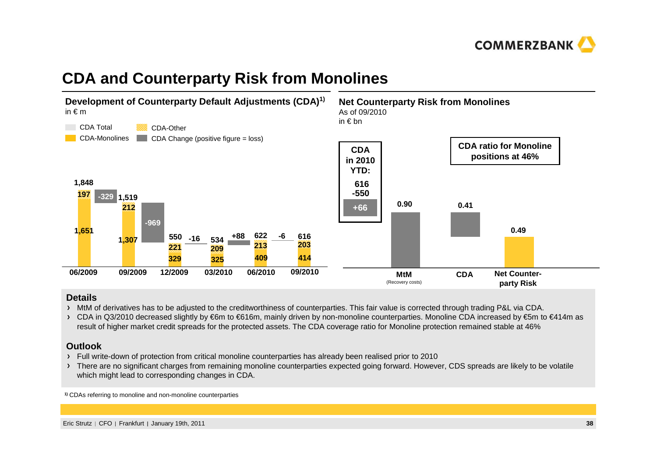

## **CDA and Counterparty Risk from Monolines**



#### **Details**

- MtM of derivatives has to be adjusted to the creditworthiness of counterparties. This fair value is corrected through trading P&L via CDA.
- CDA in Q3/2010 decreased slightly by €6m to €616m, mainly driven by non-monoline counterparties. Monoline CDA increased by €5m to €414m as result of higher market credit spreads for the protected assets. The CDA coverage ratio for Monoline protection remained stable at 46%

#### **Outlook**

- Full write-down of protection from critical monoline counterparties has already been realised prior to 2010
- There are no significant charges from remaining monoline counterparties expected going forward. However, CDS spreads are likely to be volatile which might lead to corresponding changes in CDA.

**1)** CDAs referring to monoline and non-monoline counterparties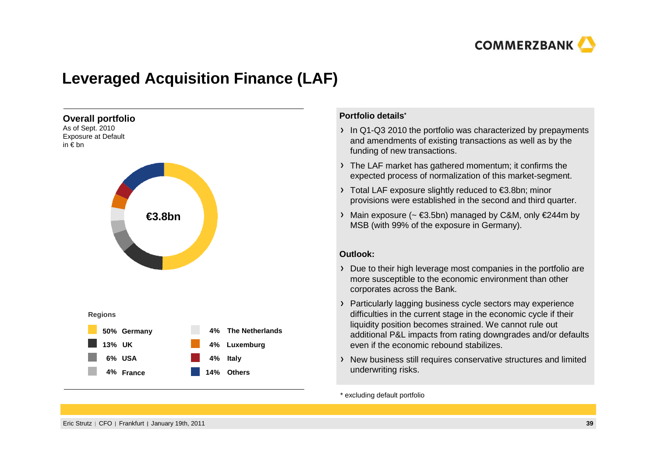

## **Leveraged Acquisition Finance (LAF)**



#### **Portfolio details\***

- In Q1-Q3 2010 the portfolio was characterized by prepayments and amendments of existing transactions as well as by the funding of new transactions.
- The LAF market has gathered momentum; it confirms the expected process of normalization of this market-segment.
- Total LAF exposure slightly reduced to €3.8bn; minor provisions were established in the second and third quarter.
- $\rightarrow$  Main exposure ( $\sim$  €3.5bn) managed by C&M, only €244mby MSB (with 99% of the exposure in Germany).

#### **Outlook:**

- > Due to their high leverage most companies in the portfolio are more susceptible to the economic environment than other corporates across the Bank.
- Particularly lagging business cycle sectors may experience difficulties in the current stage in the economic cycle if theirliquidity position becomes strained. We cannot rule out additional P&L impacts from rating downgrades and/or defaults even if the economic rebound stabilizes.
- New business still requires conservative structures and limited underwriting risks.

\* excluding default portfolio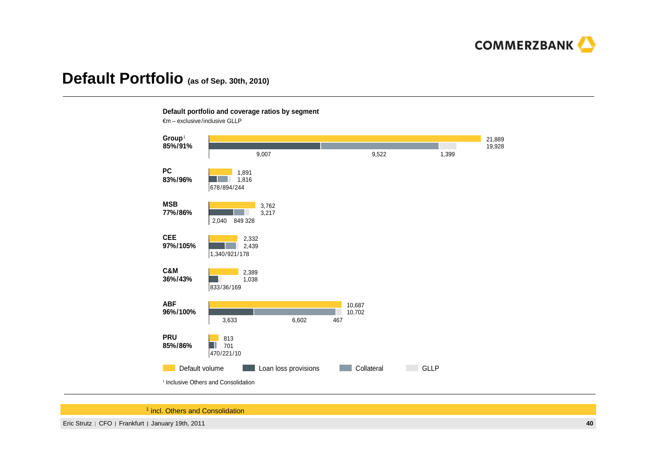

## **Default Portfolio (as of Sep. 30th, 2010)**

**Default portfolio and coverage ratios by segment**

€m – exclusive/inclusive GLLP



<sup>1</sup> incl. Others and Consolidation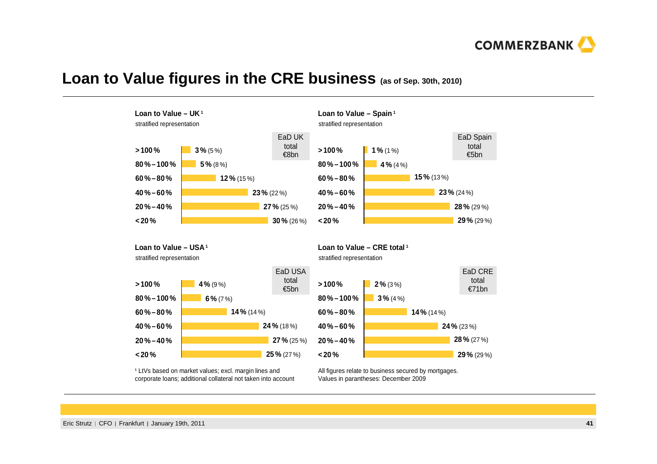

# **Loan to Value figures in the CRE business (as of Sep. 30th, 2010)**



corporate loans; additional collateral not taken into account

Values in parantheses: December 2009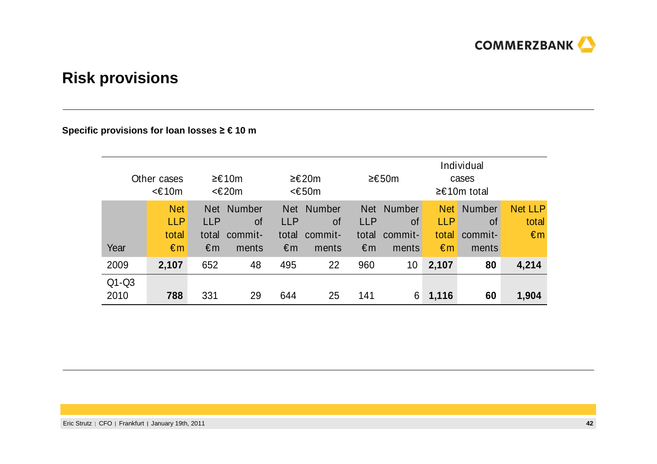

## **Risk provisions**

**Specific provisions for loan losses <sup>≥</sup> € <sup>10</sup> <sup>m</sup>**

|                 | Other cases<br>$<\epsilon$ 10m                    |                                         | ≥€10m<br>$<\epsilon$ 20m                       |                                         | ≥€20m<br><€50m                          |                                         | ≥€50m                                   |                                                   | Individual<br>cases<br>$≥€10m$ total           |                                         |
|-----------------|---------------------------------------------------|-----------------------------------------|------------------------------------------------|-----------------------------------------|-----------------------------------------|-----------------------------------------|-----------------------------------------|---------------------------------------------------|------------------------------------------------|-----------------------------------------|
| Year            | <b>Net</b><br><b>LLP</b><br>total<br>$\epsilon$ m | <b>Net</b><br><b>LLP</b><br>total<br>€m | <b>Number</b><br><b>of</b><br>commit-<br>ments | <b>Net</b><br><b>LLP</b><br>total<br>€m | Number<br><b>of</b><br>commit-<br>ments | <b>Net</b><br><b>LLP</b><br>total<br>€m | <b>Number</b><br>0f<br>commit-<br>ments | <b>Net</b><br><b>LLP</b><br>total<br>$\epsilon$ m | <b>Number</b><br><b>of</b><br>commit-<br>ments | <b>Net LLP</b><br>total<br>$\epsilon$ m |
| 2009            | 2,107                                             | 652                                     | 48                                             | 495                                     | 22                                      | 960                                     | 10                                      | 2,107                                             | 80                                             | 4,214                                   |
| $Q1-Q3$<br>2010 | 788                                               | 331                                     | 29                                             | 644                                     | 25                                      | 141                                     | 6                                       | 1,116                                             | 60                                             | 1,904                                   |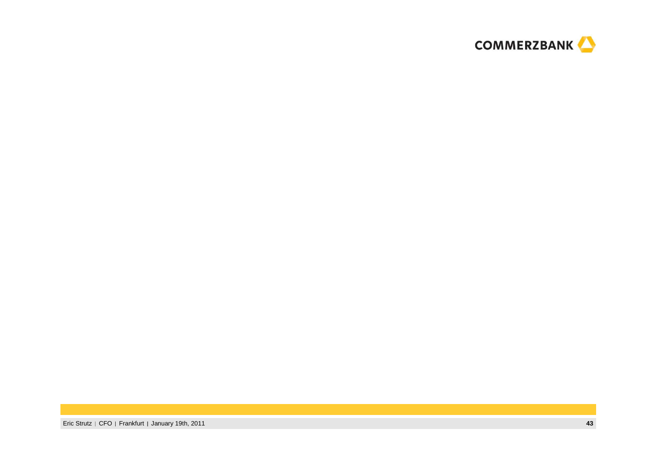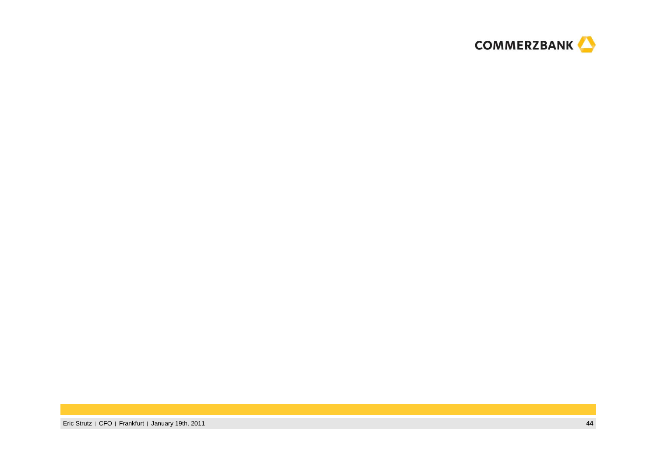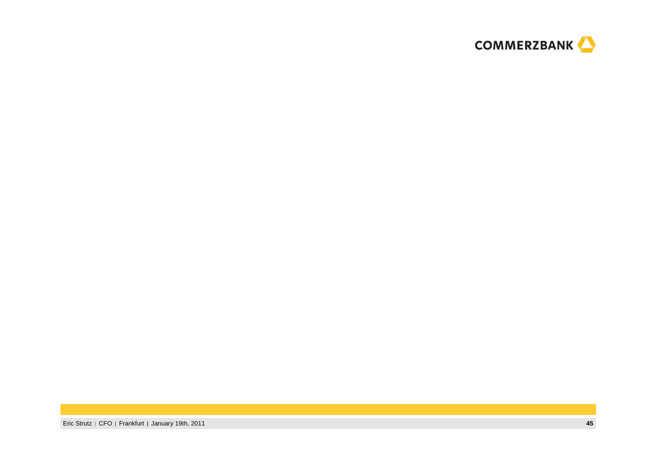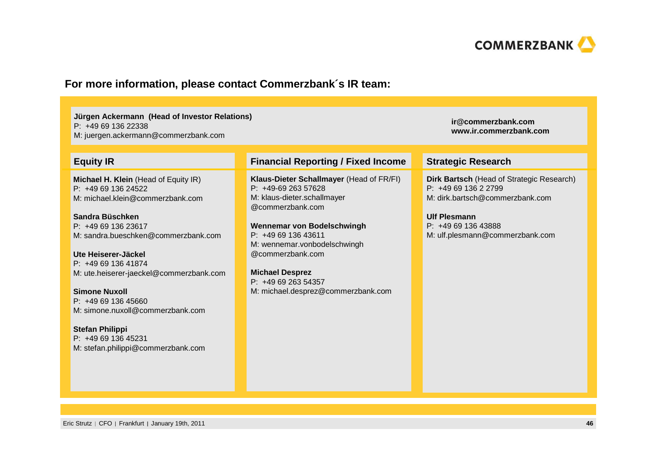

#### **For more information, please contact Commerzbank´s IR team:**

**Jürgen Ackermann (Head of Investor Relations)**

P: +49 69 136 22338

M: juergen.ackermann@commerzbank.com

#### **Equity IR**

**Michael H. Klein** (Head of Equity IR)P: +49 69 136 24522M: michael.klein@commerzbank.com

**Sandra Büschken** P: +49 69 136 23617M: sandra.bueschken@commerzbank.com

**Ute Heiserer-Jäckel** P: +49 69 136 41874M: ute.heiserer-jaeckel@commerzbank.com

**Simone Nuxoll** P: +49 69 136 45660M: simone.nuxoll@commerzbank.com

**Stefan Philippi** P: +49 69 136 45231M: stefan.philippi@commerzbank.com

#### **Financial Reporting / Fixed Income Strategic Research**

**Klaus-Dieter Schallmayer** (Head of FR/FI) P: +49-69 263 57628 M: klaus-dieter.schallmayer@commerzbank.com

**Wennemar von Bodelschwingh**P: +49 69 136 43611 M: wennemar.vonbodelschwingh@commerzbank.com

**Michael Desprez** P: +49 69 263 54357M: michael.desprez@commerzbank.com **ir@commerzbank.comwww.ir.commerzbank.com**

**Dirk Bartsch** (Head of Strategic Research) P: +49 69 136 2 2799 M: dirk.bartsch@commerzbank.com

#### **Ulf Plesmann**

 P: +49 69 136 43888 M: ulf.plesmann@commerzbank.com